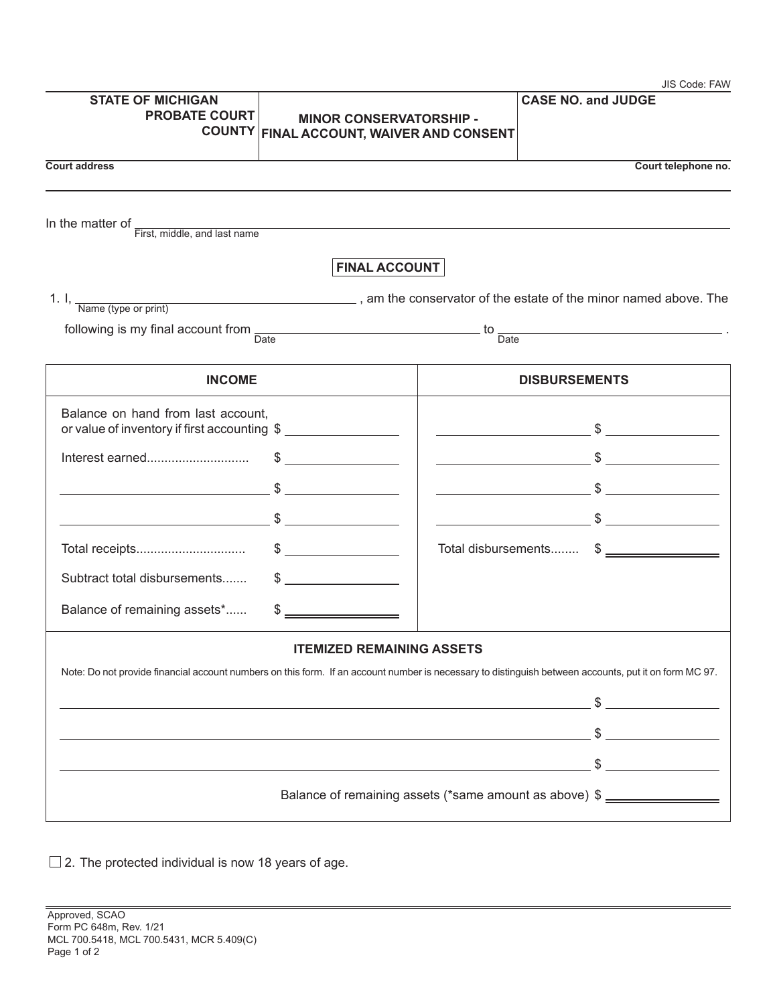| <b>STATE OF MICHIGAN</b><br><b>PROBATE COURT</b>                                   |                                                                     |                                                                                                                                                                               |
|------------------------------------------------------------------------------------|---------------------------------------------------------------------|-------------------------------------------------------------------------------------------------------------------------------------------------------------------------------|
| <b>COUNTY</b>                                                                      | <b>MINOR CONSERVATORSHIP -</b><br>FINAL ACCOUNT, WAIVER AND CONSENT | <b>CASE NO. and JUDGE</b>                                                                                                                                                     |
| <b>Court address</b>                                                               |                                                                     | Court telephone no.                                                                                                                                                           |
|                                                                                    |                                                                     |                                                                                                                                                                               |
| In the matter of $\frac{1}{\text{First, middle, and last name}}$                   |                                                                     |                                                                                                                                                                               |
|                                                                                    | <b>FINAL ACCOUNT</b>                                                |                                                                                                                                                                               |
|                                                                                    |                                                                     | 1. I, $\frac{1}{\text{Name (type or print)}}$ , am the conservator of the estate of the minor named above. The                                                                |
|                                                                                    |                                                                     | following is my final account from $\frac{1}{\text{Date}}$ .                                                                                                                  |
|                                                                                    |                                                                     |                                                                                                                                                                               |
| <b>INCOME</b>                                                                      |                                                                     | <b>DISBURSEMENTS</b>                                                                                                                                                          |
| Balance on hand from last account,<br>or value of inventory if first accounting \$ |                                                                     | $\overbrace{\hspace{2.5cm}}^{\text{S}}$                                                                                                                                       |
| Interest earned                                                                    | $\frac{1}{2}$                                                       | $\overbrace{\hspace{2.5cm}}$ $\overbrace{\hspace{2.5cm}}$ $\overbrace{\hspace{2.5cm}}$ $\overbrace{\hspace{2.5cm}}$ $\overbrace{\hspace{2.5cm}}$                              |
|                                                                                    |                                                                     | $\overbrace{\hspace{2.5cm}}$ $\overbrace{\hspace{2.5cm}}$ $\overbrace{\hspace{2.5cm}}$ $\overbrace{\hspace{2.5cm}}$ $\overbrace{\hspace{2.5cm}}$ $\overbrace{\hspace{2.5cm}}$ |
|                                                                                    |                                                                     | $\overbrace{\hspace{2.5cm}}$ $\overbrace{\hspace{2.5cm}}$ $\overbrace{\hspace{2.5cm}}$ $\overbrace{\hspace{2.5cm}}$ $\overbrace{\hspace{2.5cm}}$ $\overbrace{\hspace{2.5cm}}$ |
|                                                                                    |                                                                     | Total disbursements \$                                                                                                                                                        |
| Subtract total disbursements                                                       | $\sim$                                                              |                                                                                                                                                                               |
| Balance of remaining assets*                                                       | $\frac{1}{1}$                                                       |                                                                                                                                                                               |
|                                                                                    | <b>ITEMIZED REMAINING ASSETS</b>                                    |                                                                                                                                                                               |
|                                                                                    |                                                                     | Note: Do not provide financial account numbers on this form. If an account number is necessary to distinguish between accounts, put it on form MC 97.                         |
|                                                                                    |                                                                     |                                                                                                                                                                               |
|                                                                                    |                                                                     |                                                                                                                                                                               |
|                                                                                    |                                                                     |                                                                                                                                                                               |
|                                                                                    |                                                                     |                                                                                                                                                                               |
|                                                                                    |                                                                     | Balance of remaining assets (*same amount as above) \$ _________________                                                                                                      |

 $\square$  2. The protected individual is now 18 years of age.